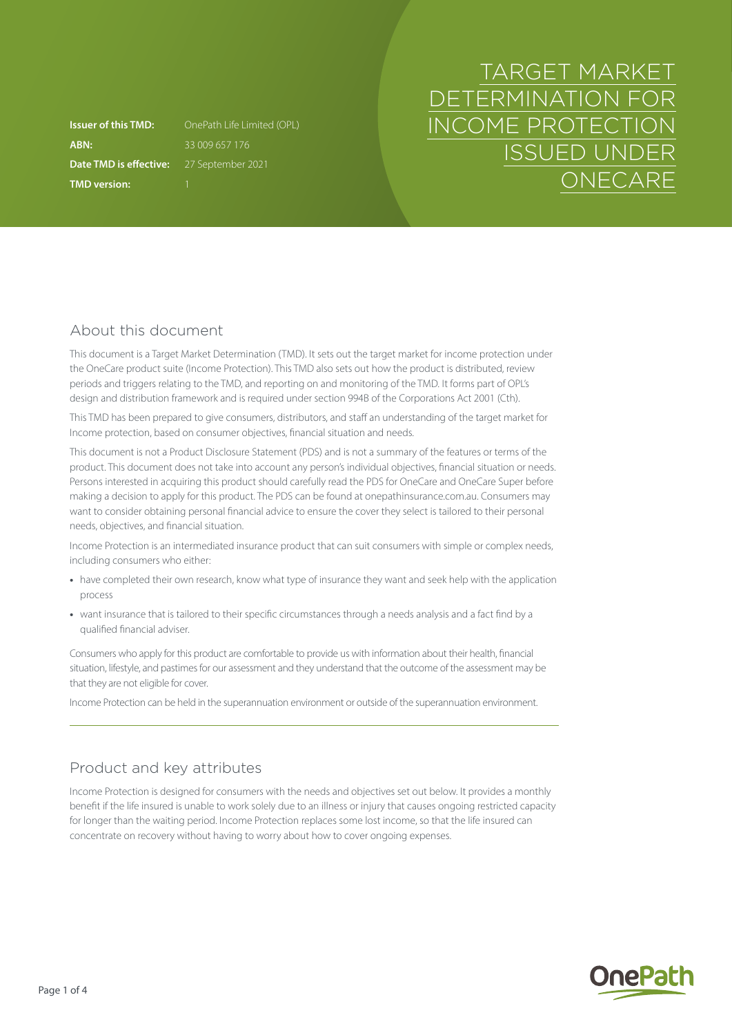**ABN:** 33 009 657 176 **Date TMD is effective:** 27 September 2021 **TMD version:** 1

**Issuer of this TMD:** OnePath Life Limited (OPL)

# TARGET MARKET DETERMINATION FOR INCOME PROTECTION ISSUED UNDER **ONECARE**

## About this document

This document is a Target Market Determination (TMD). It sets out the target market for income protection under the OneCare product suite (Income Protection). This TMD also sets out how the product is distributed, review periods and triggers relating to the TMD, and reporting on and monitoring of the TMD. It forms part of OPL's design and distribution framework and is required under section 994B of the Corporations Act 2001 (Cth).

This TMD has been prepared to give consumers, distributors, and staff an understanding of the target market for Income protection, based on consumer objectives, financial situation and needs.

This document is not a Product Disclosure Statement (PDS) and is not a summary of the features or terms of the product. This document does not take into account any person's individual objectives, financial situation or needs. Persons interested in acquiring this product should carefully read the PDS for OneCare and OneCare Super before making a decision to apply for this product. The PDS can be found at [onepathinsurance.com.au.](http://onepathinsurance.com.au) Consumers may want to consider obtaining personal financial advice to ensure the cover they select is tailored to their personal needs, objectives, and financial situation.

Income Protection is an intermediated insurance product that can suit consumers with simple or complex needs, including consumers who either:

- **•** have completed their own research, know what type of insurance they want and seek help with the application process
- **•** want insurance that is tailored to their specific circumstances through a needs analysis and a fact find by a qualified financial adviser.

Consumers who apply for this product are comfortable to provide us with information about their health, financial situation, lifestyle, and pastimes for our assessment and they understand that the outcome of the assessment may be that they are not eligible for cover.

Income Protection can be held in the superannuation environment or outside of the superannuation environment.

## Product and key attributes

Income Protection is designed for consumers with the needs and objectives set out below. It provides a monthly benefit if the life insured is unable to work solely due to an illness or injury that causes ongoing restricted capacity for longer than the waiting period. Income Protection replaces some lost income, so that the life insured can concentrate on recovery without having to worry about how to cover ongoing expenses.

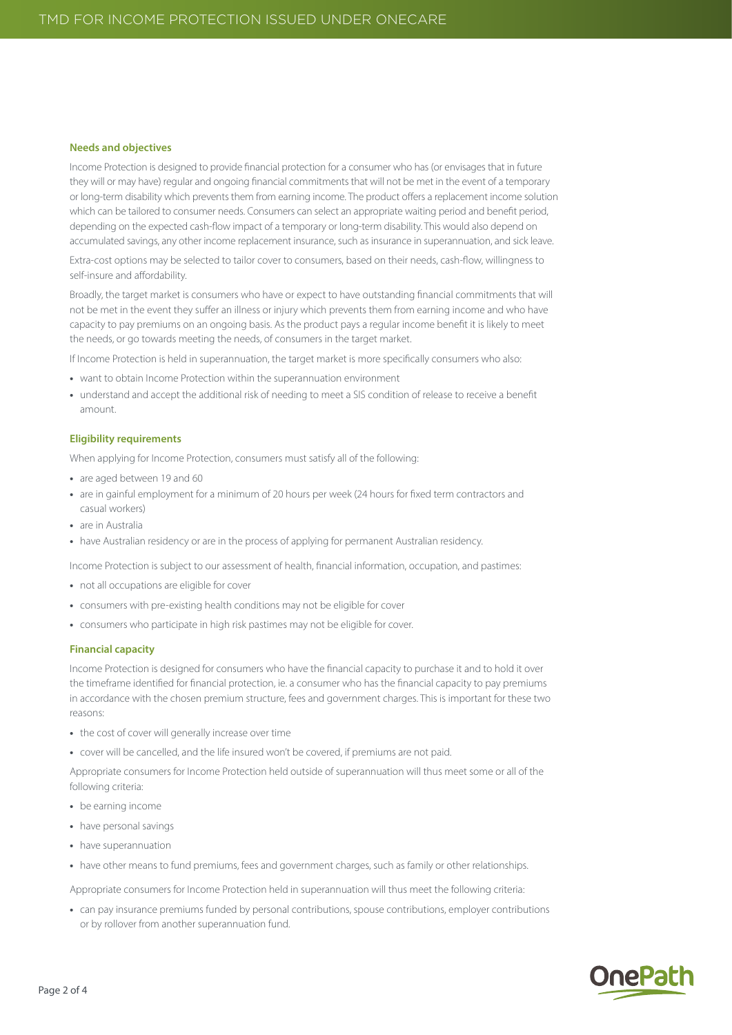#### **Needs and objectives**

Income Protection is designed to provide financial protection for a consumer who has (or envisages that in future they will or may have) regular and ongoing financial commitments that will not be met in the event of a temporary or long-term disability which prevents them from earning income. The product offers a replacement income solution which can be tailored to consumer needs. Consumers can select an appropriate waiting period and benefit period, depending on the expected cash-flow impact of a temporary or long-term disability. This would also depend on accumulated savings, any other income replacement insurance, such as insurance in superannuation, and sick leave.

Extra-cost options may be selected to tailor cover to consumers, based on their needs, cash-flow, willingness to self-insure and affordability.

Broadly, the target market is consumers who have or expect to have outstanding financial commitments that will not be met in the event they suffer an illness or injury which prevents them from earning income and who have capacity to pay premiums on an ongoing basis. As the product pays a regular income benefit it is likely to meet the needs, or go towards meeting the needs, of consumers in the target market.

If Income Protection is held in superannuation, the target market is more specifically consumers who also:

- **•** want to obtain Income Protection within the superannuation environment
- **•** understand and accept the additional risk of needing to meet a SIS condition of release to receive a benefit amount.

#### **Eligibility requirements**

When applying for Income Protection, consumers must satisfy all of the following:

- **•** are aged between 19 and 60
- **•** are in gainful employment for a minimum of 20 hours per week (24 hours for fixed term contractors and casual workers)
- **•** are in Australia
- **•** have Australian residency or are in the process of applying for permanent Australian residency.

Income Protection is subject to our assessment of health, financial information, occupation, and pastimes:

- **•** not all occupations are eligible for cover
- **•** consumers with pre-existing health conditions may not be eligible for cover
- **•** consumers who participate in high risk pastimes may not be eligible for cover.

#### **Financial capacity**

Income Protection is designed for consumers who have the financial capacity to purchase it and to hold it over the timeframe identified for financial protection, ie. a consumer who has the financial capacity to pay premiums in accordance with the chosen premium structure, fees and government charges. This is important for these two reasons:

- **•** the cost of cover will generally increase over time
- **•** cover will be cancelled, and the life insured won't be covered, if premiums are not paid.

Appropriate consumers for Income Protection held outside of superannuation will thus meet some or all of the following criteria:

- **•** be earning income
- **•** have personal savings
- **•** have superannuation
- **•** have other means to fund premiums, fees and government charges, such as family or other relationships.

Appropriate consumers for Income Protection held in superannuation will thus meet the following criteria:

**•** can pay insurance premiums funded by personal contributions, spouse contributions, employer contributions or by rollover from another superannuation fund.

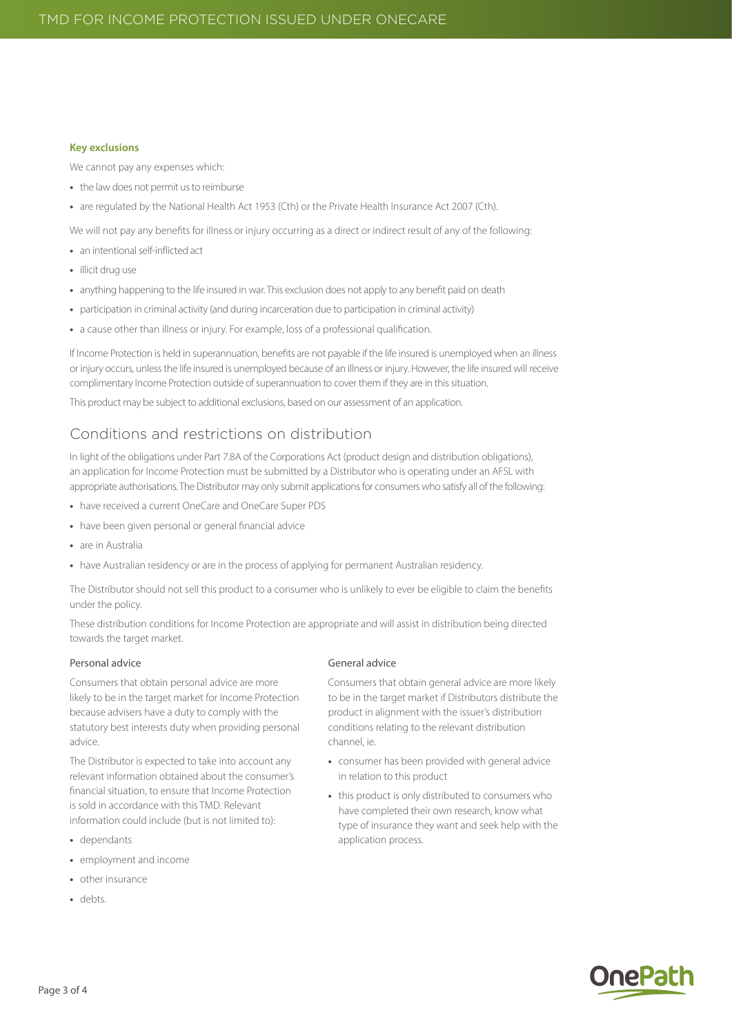#### **Key exclusions**

We cannot pay any expenses which:

- **•** the law does not permit us to reimburse
- **•** are regulated by the National Health Act 1953 (Cth) or the Private Health Insurance Act 2007 (Cth).

We will not pay any benefits for illness or injury occurring as a direct or indirect result of any of the following:

- **•** an intentional self-inflicted act
- **•** illicit drug use
- **•** anything happening to the life insured in war. This exclusion does not apply to any benefit paid on death
- **•** participation in criminal activity (and during incarceration due to participation in criminal activity)
- **•** a cause other than illness or injury. For example, loss of a professional qualification.

If Income Protection is held in superannuation, benefits are not payable if the life insured is unemployed when an illness or injury occurs, unless the life insured is unemployed because of an illness or injury. However, the life insured will receive complimentary Income Protection outside of superannuation to cover them if they are in this situation.

This product may be subject to additional exclusions, based on our assessment of an application.

### Conditions and restrictions on distribution

In light of the obligations under Part 7.8A of the Corporations Act (product design and distribution obligations), an application for Income Protection must be submitted by a Distributor who is operating under an AFSL with appropriate authorisations. The Distributor may only submit applications for consumers who satisfy all of the following:

- **•** have received a current OneCare and OneCare Super PDS
- **•** have been given personal or general financial advice
- **•** are in Australia
- have Australian residency or are in the process of applying for permanent Australian residency.

The Distributor should not sell this product to a consumer who is unlikely to ever be eligible to claim the benefits under the policy.

These distribution conditions for Income Protection are appropriate and will assist in distribution being directed towards the target market.

#### Personal advice

Consumers that obtain personal advice are more likely to be in the target market for Income Protection because advisers have a duty to comply with the statutory best interests duty when providing personal advice.

The Distributor is expected to take into account any relevant information obtained about the consumer's financial situation, to ensure that Income Protection is sold in accordance with this TMD. Relevant information could include (but is not limited to):

- **•** dependants
- **•** employment and income
- **•** other insurance
- **•** debts.

#### General advice

Consumers that obtain general advice are more likely to be in the target market if Distributors distribute the product in alignment with the issuer's distribution conditions relating to the relevant distribution channel ie.

- **•** consumer has been provided with general advice in relation to this product
- **•** this product is only distributed to consumers who have completed their own research, know what type of insurance they want and seek help with the application process.